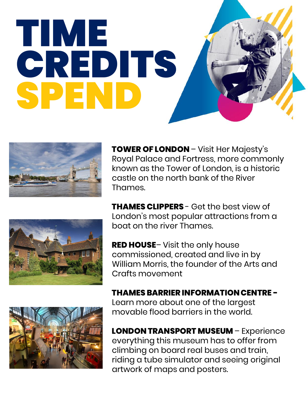## TIME **CREDITS** SPEND



**TOWER OF LONDON** – Visit Her Majesty's Royal Palace and Fortress, more commonly known as the Tower of London, is a historic castle on the north bank of the River Thames.

**THAMES CLIPPERS** - Get the best view of London's most popular attractions from a boat on the river Thames.



**THAMES BARRIER INFORMATION CENTRE -** Learn more about one of the largest movable flood barriers in the world.

**LONDON TRANSPORT MUSEUM** – Experience everything this museum has to offer from climbing on board real buses and train, riding a tube simulator and seeing original artwork of maps and posters.